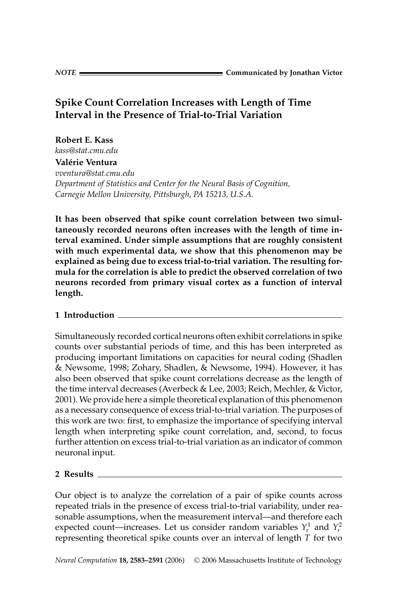# **Spike Count Correlation Increases with Length of Time Interval in the Presence of Trial-to-Trial Variation**

**Robert E. Kass** *kass@stat.cmu.edu* **Valerie Ventura ´** *vventura@stat.cmu.edu Department of Statistics and Center for the Neural Basis of Cognition, Carnegie Mellon University, Pittsburgh, PA 15213, U.S.A.*

**It has been observed that spike count correlation between two simultaneously recorded neurons often increases with the length of time interval examined. Under simple assumptions that are roughly consistent with much experimental data, we show that this phenomenon may be explained as being due to excess trial-to-trial variation. The resulting formula for the correlation is able to predict the observed correlation of two neurons recorded from primary visual cortex as a function of interval length.**

## **1 Introduction**

Simultaneously recorded cortical neurons often exhibit correlations in spike counts over substantial periods of time, and this has been interpreted as producing important limitations on capacities for neural coding (Shadlen & Newsome, 1998; Zohary, Shadlen, & Newsome, 1994). However, it has also been observed that spike count correlations decrease as the length of the time interval decreases (Averbeck & Lee, 2003; Reich, Mechler, & Victor, 2001). We provide here a simple theoretical explanation of this phenomenon as a necessary consequence of excess trial-to-trial variation. The purposes of this work are two: first, to emphasize the importance of specifying interval length when interpreting spike count correlation, and, second, to focus further attention on excess trial-to-trial variation as an indicator of common neuronal input.

### **2 Results**

Our object is to analyze the correlation of a pair of spike counts across repeated trials in the presence of excess trial-to-trial variability, under reasonable assumptions, when the measurement interval—and therefore each expected count—increases. Let us consider random variables  $Y_r^1$  and  $Y_r^2$ representing theoretical spike counts over an interval of length *T* for two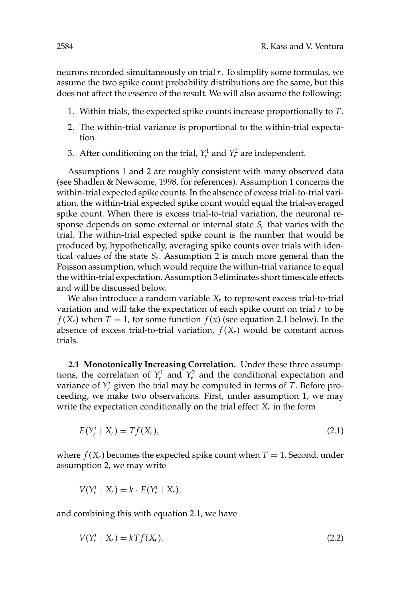neurons recorded simultaneously on trial *r*. To simplify some formulas, we assume the two spike count probability distributions are the same, but this does not affect the essence of the result. We will also assume the following:

- 1. Within trials, the expected spike counts increase proportionally to *T*.
- 2. The within-trial variance is proportional to the within-trial expectation.
- 3. After conditioning on the trial,  $Y_r^1$  and  $Y_r^2$  are independent.

Assumptions 1 and 2 are roughly consistent with many observed data (see Shadlen & Newsome, 1998, for references). Assumption 1 concerns the within-trial expected spike counts. In the absence of excess trial-to-trial variation, the within-trial expected spike count would equal the trial-averaged spike count. When there is excess trial-to-trial variation, the neuronal response depends on some external or internal state  $S_r$  that varies with the trial. The within-trial expected spike count is the number that would be produced by, hypothetically, averaging spike counts over trials with identical values of the state  $S_r$ . Assumption 2 is much more general than the Poisson assumption, which would require the within-trial variance to equal the within-trial expectation. Assumption 3 eliminates short timescale effects and will be discussed below.

We also introduce a random variable *X<sub>r</sub>* to represent excess trial-to-trial variation and will take the expectation of each spike count on trial *r* to be  $f(X_r)$  when  $T = 1$ , for some function  $f(x)$  (see equation 2.1 below). In the absence of excess trial-to-trial variation,  $f(X_r)$  would be constant across trials.

**2.1 Monotonically Increasing Correlation.** Under these three assumptions, the correlation of  $Y_r^1$  and  $Y_r^2$  and the conditional expectation and variance of  $Y_r^i$  given the trial may be computed in terms of  $T$ . Before proceeding, we make two observations. First, under assumption 1, we may write the expectation conditionally on the trial effect *Xr* in the form

$$
E(Y_r^i \mid X_r) = Tf(X_r), \tag{2.1}
$$

where  $f(X_r)$  becomes the expected spike count when  $T = 1$ . Second, under assumption 2, we may write

$$
V(Y_r^i \mid X_r) = k \cdot E(Y_r^i \mid X_r),
$$

and combining this with equation 2.1, we have

$$
V(Y_r^i \mid X_r) = kTf(X_r). \tag{2.2}
$$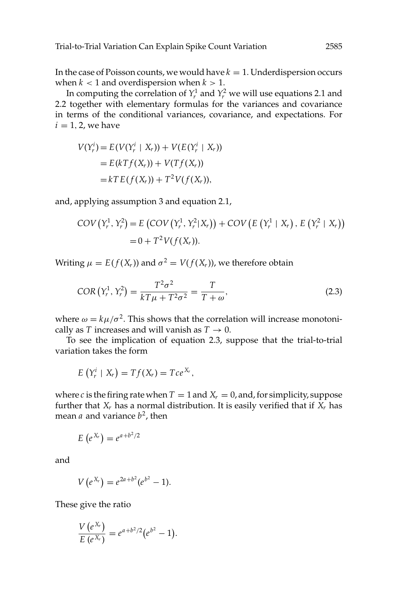In the case of Poisson counts, we would have  $k = 1$ . Underdispersion occurs when  $k < 1$  and overdispersion when  $k > 1$ .

In computing the correlation of  $Y_r^1$  and  $Y_r^2$  we will use equations 2.1 and 2.2 together with elementary formulas for the variances and covariance in terms of the conditional variances, covariance, and expectations. For  $i = 1, 2$ , we have

$$
V(Y_r^i) = E(V(Y_r^i \mid X_r)) + V(E(Y_r^i \mid X_r))
$$
  
= E(kTf(X\_r)) + V(Tf(X\_r))  
= kTE(f(X\_r)) + T<sup>2</sup>V(f(X\_r)),

and, applying assumption 3 and equation 2.1,

$$
COV(Y_r^1, Y_r^2) = E (COV(Y_r^1, Y_r^2 | X_r)) + COV (E (Y_r^1 | X_r), E (Y_r^2 | X_r))
$$
  
= 0 + T<sup>2</sup>V(f(X\_r)).

Writing  $\mu = E(f(X_r))$  and  $\sigma^2 = V(f(X_r))$ , we therefore obtain

$$
COR(Y_r^1, Y_r^2) = \frac{T^2 \sigma^2}{kT\mu + T^2 \sigma^2} = \frac{T}{T + \omega},
$$
\n(2.3)

where  $\omega = k\mu/\sigma^2$ . This shows that the correlation will increase monotonically as *T* increases and will vanish as  $T \rightarrow 0$ .

To see the implication of equation 2.3, suppose that the trial-to-trial variation takes the form

$$
E(Y_r^i \mid X_r) = Tf(X_r) = Tce^{X_r},
$$

where *c* is the firing rate when  $T = 1$  and  $X_r = 0$ , and, for simplicity, suppose further that  $X_r$  has a normal distribution. It is easily verified that if  $X_r$  has mean *a* and variance  $b^2$ , then

$$
E(e^{X_r})=e^{a+b^2/2}
$$

and

$$
V(e^{X_r})=e^{2a+b^2}(e^{b^2}-1).
$$

These give the ratio

$$
\frac{V(e^{X_r})}{E(e^{X_r})}=e^{a+b^2/2}(e^{b^2}-1).
$$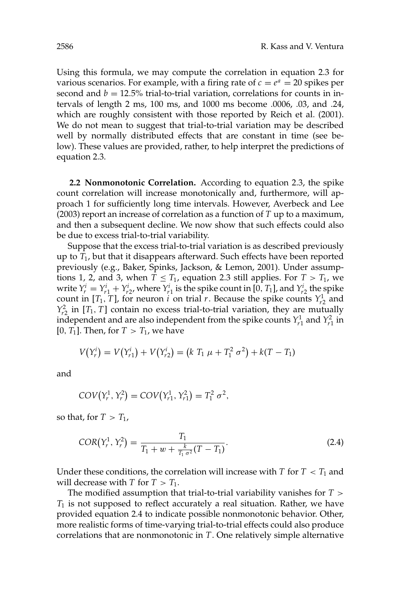Using this formula, we may compute the correlation in equation 2.3 for various scenarios. For example, with a firing rate of  $c = e^a = 20$  spikes per second and  $b = 12.5\%$  trial-to-trial variation, correlations for counts in intervals of length 2 ms, 100 ms, and 1000 ms become .0006, .03, and .24, which are roughly consistent with those reported by Reich et al. (2001). We do not mean to suggest that trial-to-trial variation may be described well by normally distributed effects that are constant in time (see below). These values are provided, rather, to help interpret the predictions of equation 2.3.

**2.2 Nonmonotonic Correlation.** According to equation 2.3, the spike count correlation will increase monotonically and, furthermore, will approach 1 for sufficiently long time intervals. However, Averbeck and Lee (2003) report an increase of correlation as a function of *T* up to a maximum, and then a subsequent decline. We now show that such effects could also be due to excess trial-to-trial variability.

Suppose that the excess trial-to-trial variation is as described previously up to *T*1, but that it disappears afterward. Such effects have been reported previously (e.g., Baker, Spinks, Jackson, & Lemon, 2001). Under assumptions 1, 2, and 3, when  $T \leq T_1$ , equation 2.3 still applies. For  $T > T_1$ , we write  $Y_r^i = Y_{r1}^i + Y_{r2}^i$ , where  $Y_{r1}^i$  is the spike count in [0, *T*<sub>1</sub>], and  $Y_{r2}^i$  the spike count in [*T*<sub>1</sub>, *T*], for neuron *i* on trial *r*. Because the spike counts  $Y_{r2}^1$  and  $Y_{r2}^2$  in [*T*<sub>1</sub>, *T*] contain no excess trial-to-trial variation, they are mutually independent and are also independent from the spike counts  $Y_{r1}^1$  and  $Y_{r1}^2$  in  $[0, T_1]$ . Then, for  $T > T_1$ , we have

$$
V(Y_r^i) = V(Y_{r1}^i) + V(Y_{r2}^i) = (k T_1 \mu + T_1^2 \sigma^2) + k(T - T_1)
$$

and

$$
COV(Y_r^1, Y_r^2) = COV(Y_{r1}^1, Y_{r1}^2) = T_1^2 \sigma^2,
$$

so that, for  $T > T_1$ ,

$$
COR(Y_r^1, Y_r^2) = \frac{T_1}{T_1 + w + \frac{k}{T_1 \sigma^2} (T - T_1)}.
$$
\n(2.4)

Under these conditions, the correlation will increase with  $T$  for  $T < T_1$  and will decrease with *T* for  $T > T_1$ .

The modified assumption that trial-to-trial variability vanishes for *T* > *T*<sup>1</sup> is not supposed to reflect accurately a real situation. Rather, we have provided equation 2.4 to indicate possible nonmonotonic behavior. Other, more realistic forms of time-varying trial-to-trial effects could also produce correlations that are nonmonotonic in *T*. One relatively simple alternative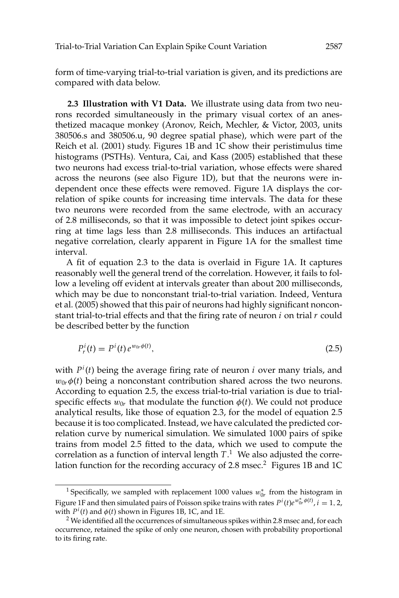form of time-varying trial-to-trial variation is given, and its predictions are compared with data below.

**2.3 Illustration with V1 Data.** We illustrate using data from two neurons recorded simultaneously in the primary visual cortex of an anesthetized macaque monkey (Aronov, Reich, Mechler, & Victor, 2003, units 380506.s and 380506.u, 90 degree spatial phase), which were part of the Reich et al. (2001) study. Figures 1B and 1C show their peristimulus time histograms (PSTHs). Ventura, Cai, and Kass (2005) established that these two neurons had excess trial-to-trial variation, whose effects were shared across the neurons (see also Figure 1D), but that the neurons were independent once these effects were removed. Figure 1A displays the correlation of spike counts for increasing time intervals. The data for these two neurons were recorded from the same electrode, with an accuracy of 2.8 milliseconds, so that it was impossible to detect joint spikes occurring at time lags less than 2.8 milliseconds. This induces an artifactual negative correlation, clearly apparent in Figure 1A for the smallest time interval.

A fit of equation 2.3 to the data is overlaid in Figure 1A. It captures reasonably well the general trend of the correlation. However, it fails to follow a leveling off evident at intervals greater than about 200 milliseconds, which may be due to nonconstant trial-to-trial variation. Indeed, Ventura et al. (2005) showed that this pair of neurons had highly significant nonconstant trial-to-trial effects and that the firing rate of neuron *i* on trial *r* could be described better by the function

$$
P_r^i(t) = P^i(t) e^{w_0 \phi(t)}, \tag{2.5}
$$

with *P<sup>i</sup>* (*t*) being the average firing rate of neuron *i* over many trials, and  $w_{0r}\phi(t)$  being a nonconstant contribution shared across the two neurons. According to equation 2.5, the excess trial-to-trial variation is due to trialspecific effects  $w_{0r}$  that modulate the function  $\phi(t)$ . We could not produce analytical results, like those of equation 2.3, for the model of equation 2.5 because it is too complicated. Instead, we have calculated the predicted correlation curve by numerical simulation. We simulated 1000 pairs of spike trains from model 2.5 fitted to the data, which we used to compute the correlation as a function of interval length *T*. <sup>1</sup> We also adjusted the correlation function for the recording accuracy of 2.8 msec.<sup>2</sup> Figures 1B and 1C

<sup>&</sup>lt;sup>1</sup> Specifically, we sampled with replacement 1000 values  $w_{0r}^*$  from the histogram in Figure 1F and then simulated pairs of Poisson spike trains with rates  $P^i(t)e^{w^*_{0r}\phi(t)}$ ,  $i = 1, 2$ , with  $P<sup>i</sup>(t)$  and  $\phi(t)$  shown in Figures 1B, 1C, and 1E.

 $2$  We identified all the occurrences of simultaneous spikes within 2.8 msec and, for each occurrence, retained the spike of only one neuron, chosen with probability proportional to its firing rate.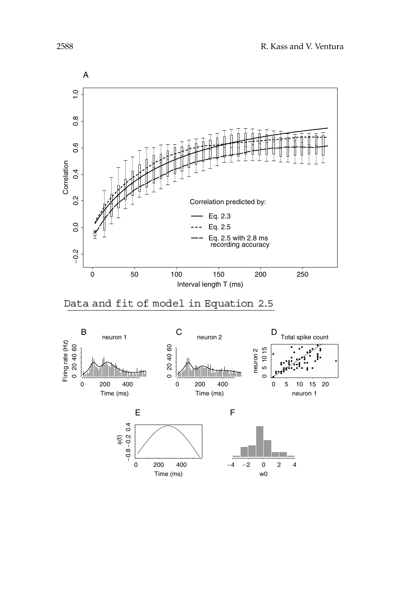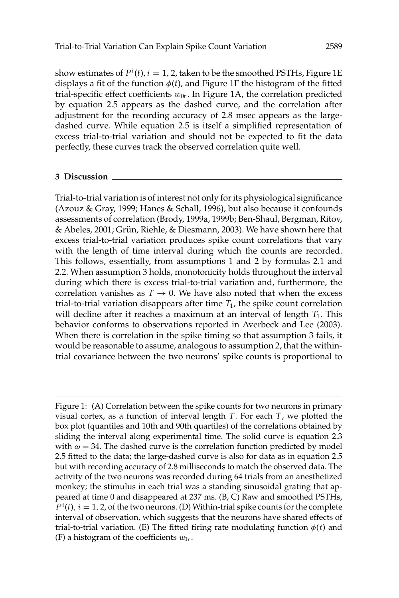show estimates of  $P^i(t)$ ,  $i = 1, 2$ , taken to be the smoothed PSTHs, Figure 1E displays a fit of the function  $\phi(t)$ , and Figure 1F the histogram of the fitted trial-specific effect coefficients  $w_{0r}$ . In Figure 1A, the correlation predicted by equation 2.5 appears as the dashed curve, and the correlation after adjustment for the recording accuracy of 2.8 msec appears as the largedashed curve. While equation 2.5 is itself a simplified representation of excess trial-to-trial variation and should not be expected to fit the data perfectly, these curves track the observed correlation quite well.

#### **3 Discussion**

Trial-to-trial variation is of interest not only for its physiological significance (Azouz & Gray, 1999; Hanes & Schall, 1996), but also because it confounds assessments of correlation (Brody, 1999a, 1999b; Ben-Shaul, Bergman, Ritov, & Abeles, 2001; Grün, Riehle, & Diesmann, 2003). We have shown here that excess trial-to-trial variation produces spike count correlations that vary with the length of time interval during which the counts are recorded. This follows, essentially, from assumptions 1 and 2 by formulas 2.1 and 2.2. When assumption 3 holds, monotonicity holds throughout the interval during which there is excess trial-to-trial variation and, furthermore, the correlation vanishes as  $T \rightarrow 0$ . We have also noted that when the excess trial-to-trial variation disappears after time *T*1, the spike count correlation will decline after it reaches a maximum at an interval of length  $T_1$ . This behavior conforms to observations reported in Averbeck and Lee (2003). When there is correlation in the spike timing so that assumption 3 fails, it would be reasonable to assume, analogous to assumption 2, that the withintrial covariance between the two neurons' spike counts is proportional to

Figure 1: (A) Correlation between the spike counts for two neurons in primary visual cortex, as a function of interval length *T*. For each *T*, we plotted the box plot (quantiles and 10th and 90th quartiles) of the correlations obtained by sliding the interval along experimental time. The solid curve is equation 2.3 with  $\omega = 34$ . The dashed curve is the correlation function predicted by model 2.5 fitted to the data; the large-dashed curve is also for data as in equation 2.5 but with recording accuracy of 2.8 milliseconds to match the observed data. The activity of the two neurons was recorded during 64 trials from an anesthetized monkey; the stimulus in each trial was a standing sinusoidal grating that appeared at time 0 and disappeared at 237 ms. (B, C) Raw and smoothed PSTHs,  $P^i(t)$ ,  $i = 1, 2$ , of the two neurons. (D) Within-trial spike counts for the complete interval of observation, which suggests that the neurons have shared effects of trial-to-trial variation. (E) The fitted firing rate modulating function  $\phi(t)$  and (F) a histogram of the coefficients  $w_{0r}$ .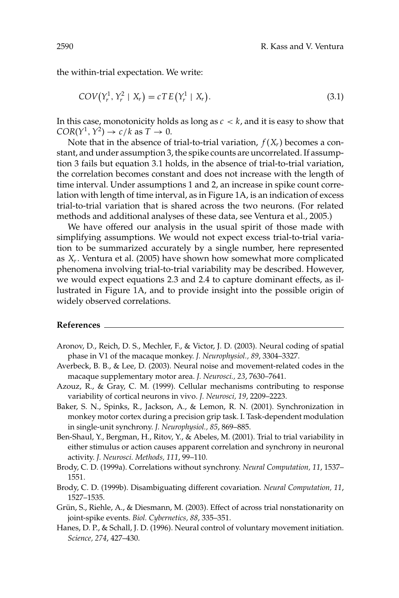the within-trial expectation. We write:

$$
COV(Y_r^1, Y_r^2 \mid X_r) = c \, TE(Y_r^1 \mid X_r). \tag{3.1}
$$

In this case, monotonicity holds as long as *c* < *k*, and it is easy to show that  $COR(Y^1, Y^2) \rightarrow c/k$  as  $T \rightarrow 0$ .

Note that in the absence of trial-to-trial variation,  $f(X_r)$  becomes a constant, and under assumption 3, the spike counts are uncorrelated. If assumption 3 fails but equation 3.1 holds, in the absence of trial-to-trial variation, the correlation becomes constant and does not increase with the length of time interval. Under assumptions 1 and 2, an increase in spike count correlation with length of time interval, as in Figure 1A, is an indication of excess trial-to-trial variation that is shared across the two neurons. (For related methods and additional analyses of these data, see Ventura et al., 2005.)

We have offered our analysis in the usual spirit of those made with simplifying assumptions. We would not expect excess trial-to-trial variation to be summarized accurately by a single number, here represented as *Xr*. Ventura et al. (2005) have shown how somewhat more complicated phenomena involving trial-to-trial variability may be described. However, we would expect equations 2.3 and 2.4 to capture dominant effects, as illustrated in Figure 1A, and to provide insight into the possible origin of widely observed correlations.

#### **References**

- Aronov, D., Reich, D. S., Mechler, F., & Victor, J. D. (2003). Neural coding of spatial phase in V1 of the macaque monkey. *J. Neurophysiol., 89*, 3304–3327.
- Averbeck, B. B., & Lee, D. (2003). Neural noise and movement-related codes in the macaque supplementary motor area. *J. Neurosci., 23*, 7630–7641.
- Azouz, R., & Gray, C. M. (1999). Cellular mechanisms contributing to response variability of cortical neurons in vivo. *J. Neurosci, 19*, 2209–2223.
- Baker, S. N., Spinks, R., Jackson, A., & Lemon, R. N. (2001). Synchronization in monkey motor cortex during a precision grip task. I. Task-dependent modulation in single-unit synchrony. *J. Neurophysiol., 85*, 869–885.
- Ben-Shaul, Y., Bergman, H., Ritov, Y., & Abeles, M. (2001). Trial to trial variability in either stimulus or action causes apparent correlation and synchrony in neuronal activity. *J. Neurosci. Methods, 111*, 99–110.
- Brody, C. D. (1999a). Correlations without synchrony. *Neural Computation, 11*, 1537– 1551.
- Brody, C. D. (1999b). Disambiguating different covariation. *Neural Computation, 11*, 1527–1535.
- Grün, S., Riehle, A., & Diesmann, M. (2003). Effect of across trial nonstationarity on joint-spike events. *Biol. Cybernetics, 88*, 335–351.
- Hanes, D. P., & Schall, J. D. (1996). Neural control of voluntary movement initiation. *Science, 274*, 427–430.